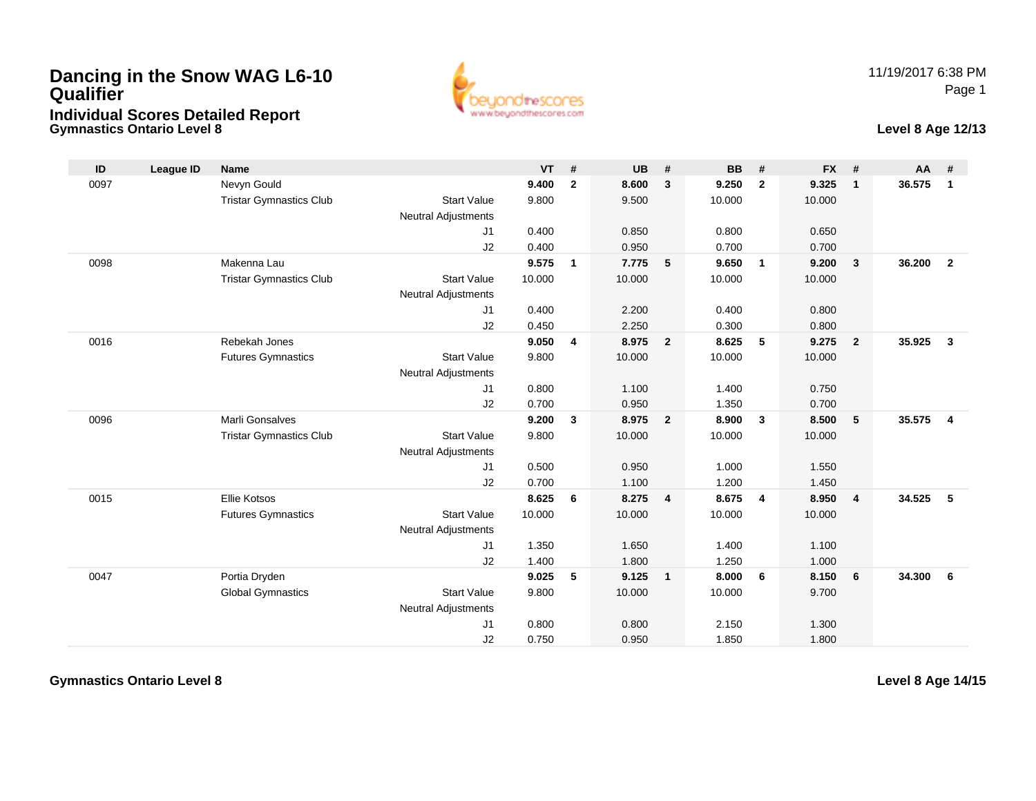# **Dancing in the Snow WAG L6-10 QualifierIndividual Scores Detailed Report**

**Gymnastics Ontario Level 8**



#### **Level 8 Age 12/13**

| ID   | <b>League ID</b> | <b>Name</b>                    |                            | <b>VT</b> | #            | <b>UB</b> | #              | <b>BB</b> | #              | <b>FX</b> | #                       | AA     | #              |
|------|------------------|--------------------------------|----------------------------|-----------|--------------|-----------|----------------|-----------|----------------|-----------|-------------------------|--------|----------------|
| 0097 |                  | Nevyn Gould                    |                            | 9.400     | $\mathbf{2}$ | 8.600     | $\mathbf{3}$   | 9.250     | $\mathbf{2}$   | 9.325     | $\overline{1}$          | 36.575 | $\mathbf{1}$   |
|      |                  | <b>Tristar Gymnastics Club</b> | <b>Start Value</b>         | 9.800     |              | 9.500     |                | 10.000    |                | 10.000    |                         |        |                |
|      |                  |                                | <b>Neutral Adjustments</b> |           |              |           |                |           |                |           |                         |        |                |
|      |                  |                                | J1                         | 0.400     |              | 0.850     |                | 0.800     |                | 0.650     |                         |        |                |
|      |                  |                                | J2                         | 0.400     |              | 0.950     |                | 0.700     |                | 0.700     |                         |        |                |
| 0098 |                  | Makenna Lau                    |                            | 9.575     | $\mathbf{1}$ | 7.775     | 5              | 9.650     | $\overline{1}$ | 9.200     | $\overline{\mathbf{3}}$ | 36.200 | $\overline{2}$ |
|      |                  | <b>Tristar Gymnastics Club</b> | <b>Start Value</b>         | 10.000    |              | 10.000    |                | 10.000    |                | 10.000    |                         |        |                |
|      |                  |                                | <b>Neutral Adjustments</b> |           |              |           |                |           |                |           |                         |        |                |
|      |                  |                                | J1                         | 0.400     |              | 2.200     |                | 0.400     |                | 0.800     |                         |        |                |
|      |                  |                                | J2                         | 0.450     |              | 2.250     |                | 0.300     |                | 0.800     |                         |        |                |
| 0016 |                  | Rebekah Jones                  |                            | 9.050     | 4            | 8.975     | $\overline{2}$ | 8.625     | 5              | 9.275     | $\overline{2}$          | 35.925 | $\mathbf{3}$   |
|      |                  | <b>Futures Gymnastics</b>      | <b>Start Value</b>         | 9.800     |              | 10.000    |                | 10.000    |                | 10.000    |                         |        |                |
|      |                  |                                | <b>Neutral Adjustments</b> |           |              |           |                |           |                |           |                         |        |                |
|      |                  |                                | J1                         | 0.800     |              | 1.100     |                | 1.400     |                | 0.750     |                         |        |                |
|      |                  |                                | J2                         | 0.700     |              | 0.950     |                | 1.350     |                | 0.700     |                         |        |                |
| 0096 |                  | <b>Marli Gonsalves</b>         |                            | 9.200     | $\mathbf{3}$ | 8.975     | $\overline{2}$ | 8.900     | $\mathbf{3}$   | 8.500     | 5                       | 35.575 | $\overline{4}$ |
|      |                  | <b>Tristar Gymnastics Club</b> | <b>Start Value</b>         | 9.800     |              | 10.000    |                | 10.000    |                | 10.000    |                         |        |                |
|      |                  |                                | <b>Neutral Adjustments</b> |           |              |           |                |           |                |           |                         |        |                |
|      |                  |                                | J1                         | 0.500     |              | 0.950     |                | 1.000     |                | 1.550     |                         |        |                |
|      |                  |                                | J2                         | 0.700     |              | 1.100     |                | 1.200     |                | 1.450     |                         |        |                |
| 0015 |                  | <b>Ellie Kotsos</b>            |                            | 8.625     | 6            | 8.275     | $\overline{4}$ | 8.675     | $\overline{4}$ | 8.950     | $\overline{4}$          | 34.525 | 5              |
|      |                  | <b>Futures Gymnastics</b>      | <b>Start Value</b>         | 10.000    |              | 10.000    |                | 10.000    |                | 10.000    |                         |        |                |
|      |                  |                                | Neutral Adjustments        |           |              |           |                |           |                |           |                         |        |                |
|      |                  |                                | J1                         | 1.350     |              | 1.650     |                | 1.400     |                | 1.100     |                         |        |                |
|      |                  |                                | J2                         | 1.400     |              | 1.800     |                | 1.250     |                | 1.000     |                         |        |                |
| 0047 |                  | Portia Dryden                  |                            | 9.025     | 5            | 9.125     | $\overline{1}$ | 8.000     | 6              | 8.150     | 6                       | 34.300 | 6              |
|      |                  | <b>Global Gymnastics</b>       | <b>Start Value</b>         | 9.800     |              | 10.000    |                | 10.000    |                | 9.700     |                         |        |                |
|      |                  |                                | Neutral Adjustments        |           |              |           |                |           |                |           |                         |        |                |
|      |                  |                                | J1                         | 0.800     |              | 0.800     |                | 2.150     |                | 1.300     |                         |        |                |
|      |                  |                                | J2                         | 0.750     |              | 0.950     |                | 1.850     |                | 1.800     |                         |        |                |

**Gymnastics Ontario Level 8**

**Level 8 Age 14/15**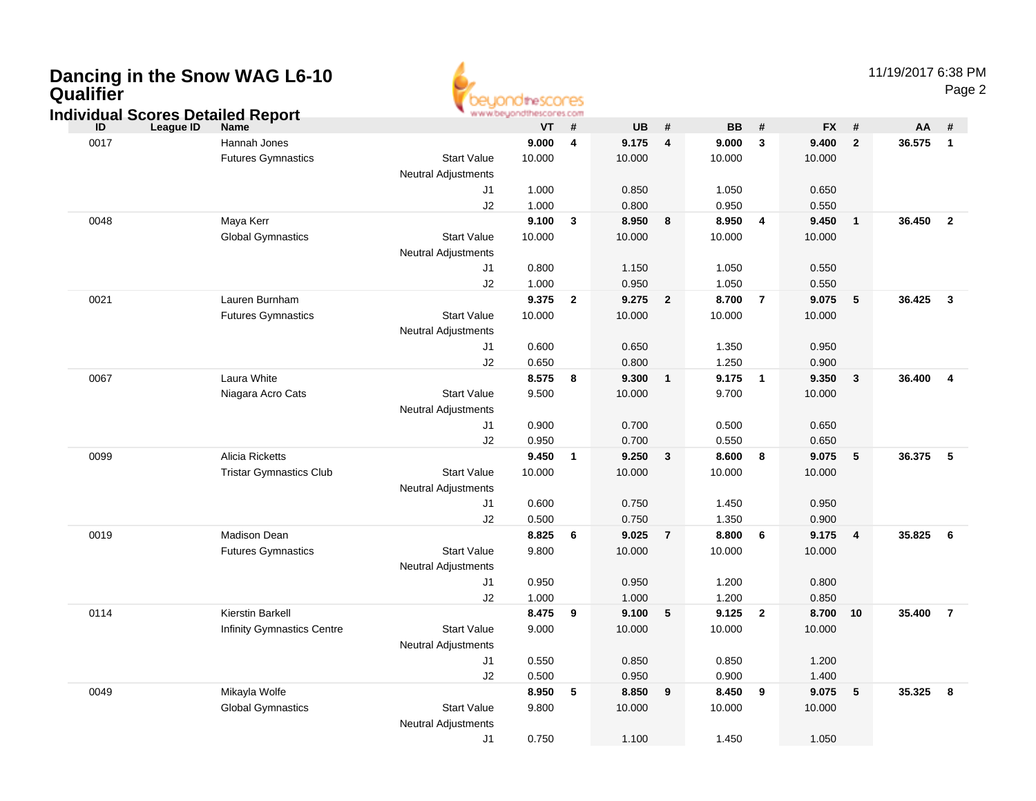# **Dancing in the Snow WAG L6-10 Qualifier Individual Scores Detailed Report**



## 11/19/2017 6:38 PM

Page 2

|      | ndividual Scores Detailed Report |                                   |                                  | as as accountable in as such |                         |                |                         |                |                |                   |              |          |                         |
|------|----------------------------------|-----------------------------------|----------------------------------|------------------------------|-------------------------|----------------|-------------------------|----------------|----------------|-------------------|--------------|----------|-------------------------|
| ID   | League ID                        | <b>Name</b>                       |                                  | <b>VT</b>                    | #                       | <b>UB</b>      | #                       | <b>BB</b>      | #              | <b>FX</b>         | #            | AA       | #                       |
| 0017 |                                  | Hannah Jones                      |                                  | 9.000                        | $\overline{\mathbf{4}}$ | 9.175          | $\overline{\mathbf{4}}$ | 9.000          | $\mathbf{3}$   | 9.400             | $\mathbf{2}$ | 36.575   | $\overline{1}$          |
|      |                                  | <b>Futures Gymnastics</b>         | <b>Start Value</b>               | 10.000                       |                         | 10.000         |                         | 10.000         |                | 10.000            |              |          |                         |
|      |                                  |                                   | <b>Neutral Adjustments</b>       |                              |                         |                |                         |                |                |                   |              |          |                         |
|      |                                  |                                   | J <sub>1</sub>                   | 1.000                        |                         | 0.850          |                         | 1.050          |                | 0.650             |              |          |                         |
|      |                                  |                                   | J2                               | 1.000                        |                         | 0.800          |                         | 0.950          |                | 0.550             |              |          |                         |
| 0048 |                                  | Maya Kerr                         |                                  | 9.100                        | $\mathbf{3}$            | 8.950          | 8                       | 8.950          | 4              | 9.450             | $\mathbf{1}$ | 36.450   | $\overline{\mathbf{2}}$ |
|      |                                  | <b>Global Gymnastics</b>          | <b>Start Value</b>               | 10.000                       |                         | 10.000         |                         | 10.000         |                | 10.000            |              |          |                         |
|      |                                  |                                   | <b>Neutral Adjustments</b>       |                              |                         |                |                         |                |                |                   |              |          |                         |
|      |                                  |                                   | J <sub>1</sub>                   | 0.800                        |                         | 1.150          |                         | 1.050          |                | 0.550             |              |          |                         |
|      |                                  |                                   | J2                               | 1.000                        |                         | 0.950          |                         | 1.050          |                | 0.550             |              |          |                         |
| 0021 |                                  | Lauren Burnham                    |                                  | 9.375                        | $\overline{\mathbf{2}}$ | 9.275          | $\overline{2}$          | 8.700          | $\overline{7}$ | 9.075             | 5            | 36.425   | $\overline{\mathbf{3}}$ |
|      |                                  | <b>Futures Gymnastics</b>         | <b>Start Value</b>               | 10.000                       |                         | 10.000         |                         | 10.000         |                | 10.000            |              |          |                         |
|      |                                  |                                   | <b>Neutral Adjustments</b>       |                              |                         |                |                         |                |                |                   |              |          |                         |
|      |                                  |                                   | J <sub>1</sub>                   | 0.600                        |                         | 0.650          |                         | 1.350          |                | 0.950             |              |          |                         |
|      |                                  |                                   | J2                               | 0.650                        |                         | 0.800          |                         | 1.250          |                | 0.900             |              |          |                         |
| 0067 |                                  | Laura White                       |                                  | 8.575                        | 8                       | 9.300          | $\mathbf{1}$            | 9.175          | $\mathbf{1}$   | 9.350             | $\mathbf{3}$ | 36.400   | $\overline{\mathbf{4}}$ |
|      |                                  | Niagara Acro Cats                 | <b>Start Value</b>               | 9.500                        |                         | 10.000         |                         | 9.700          |                | 10.000            |              |          |                         |
|      |                                  |                                   | <b>Neutral Adjustments</b>       |                              |                         |                |                         |                |                |                   |              |          |                         |
|      |                                  |                                   | J <sub>1</sub>                   | 0.900                        |                         | 0.700          |                         | 0.500          |                | 0.650             |              |          |                         |
|      |                                  |                                   | J2                               | 0.950                        |                         | 0.700          |                         | 0.550          |                | 0.650             |              |          |                         |
| 0099 |                                  | Alicia Ricketts                   |                                  | 9.450                        | $\overline{1}$          | 9.250          | $\mathbf{3}$            | 8.600          | 8              | 9.075             | $\sqrt{5}$   | 36.375   | $-5$                    |
|      |                                  | <b>Tristar Gymnastics Club</b>    | <b>Start Value</b>               | 10.000                       |                         | 10.000         |                         | 10.000         |                | 10.000            |              |          |                         |
|      |                                  |                                   | <b>Neutral Adjustments</b>       |                              |                         |                |                         |                |                |                   |              |          |                         |
|      |                                  |                                   | J1                               | 0.600                        |                         | 0.750          |                         | 1.450          |                | 0.950             |              |          |                         |
|      |                                  |                                   | J2                               | 0.500                        |                         | 0.750          |                         | 1.350          |                | 0.900             |              |          |                         |
| 0019 |                                  | Madison Dean                      |                                  | 8.825                        | 6                       | 9.025          | $\overline{7}$          | 8.800          | 6              | 9.175             | 4            | 35.825   | $6\overline{6}$         |
|      |                                  | <b>Futures Gymnastics</b>         | <b>Start Value</b>               | 9.800                        |                         | 10.000         |                         | 10.000         |                | 10.000            |              |          |                         |
|      |                                  |                                   | <b>Neutral Adjustments</b>       |                              |                         |                |                         |                |                |                   |              |          |                         |
|      |                                  |                                   | J1                               | 0.950                        |                         | 0.950          |                         | 1.200          |                | 0.800             |              |          |                         |
| 0114 |                                  | Kierstin Barkell                  | J2                               | 1.000<br>8.475               |                         | 1.000          |                         | 1.200          |                | 0.850<br>8.700 10 |              | 35.400 7 |                         |
|      |                                  |                                   |                                  |                              | $\overline{\mathbf{9}}$ | 9.100          | 5                       | 9.125          | $\overline{2}$ |                   |              |          |                         |
|      |                                  | <b>Infinity Gymnastics Centre</b> | <b>Start Value</b>               | 9.000                        |                         | 10.000         |                         | 10.000         |                | 10.000            |              |          |                         |
|      |                                  |                                   | <b>Neutral Adjustments</b><br>J1 |                              |                         |                |                         |                |                |                   |              |          |                         |
|      |                                  |                                   | J2                               | 0.550<br>0.500               |                         | 0.850<br>0.950 |                         | 0.850<br>0.900 |                | 1.200<br>1.400    |              |          |                         |
|      |                                  | Mikayla Wolfe                     |                                  | 8.950                        |                         | 8.850          |                         | 8.450          |                | 9.075             |              | 35.325   | $\overline{\mathbf{8}}$ |
| 0049 |                                  | <b>Global Gymnastics</b>          | <b>Start Value</b>               | 9.800                        | $\sqrt{5}$              | 10.000         | $\boldsymbol{9}$        | 10.000         | 9              | 10.000            | $\sqrt{5}$   |          |                         |
|      |                                  |                                   | <b>Neutral Adjustments</b>       |                              |                         |                |                         |                |                |                   |              |          |                         |
|      |                                  |                                   | J1                               | 0.750                        |                         | 1.100          |                         | 1.450          |                | 1.050             |              |          |                         |
|      |                                  |                                   |                                  |                              |                         |                |                         |                |                |                   |              |          |                         |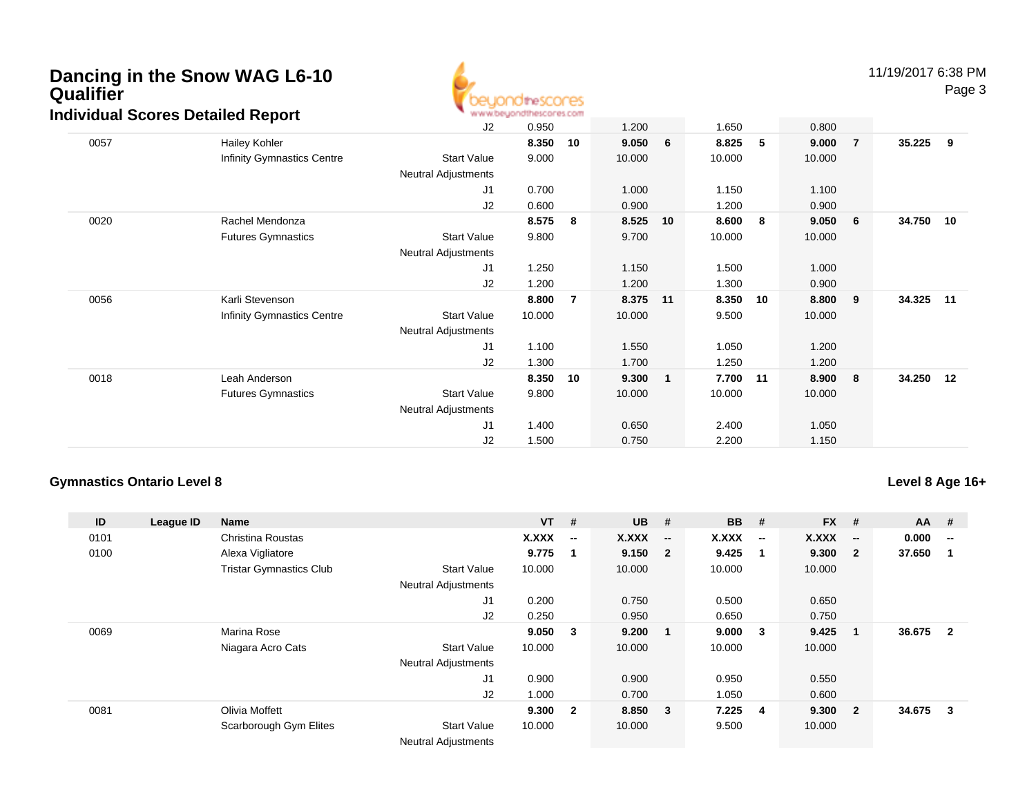## **Dancing in the Snow WAG L6-10 QualifierIndividual Scores Detailed Report**



Page 3

| 35.225<br>9<br>-7<br>34.750<br>10<br>- 6 |
|------------------------------------------|
|                                          |
|                                          |
|                                          |
|                                          |
|                                          |
|                                          |
|                                          |
|                                          |
|                                          |
|                                          |
|                                          |
| 34.325<br>11                             |
|                                          |
|                                          |
|                                          |
|                                          |
| 34.250<br>12                             |
|                                          |
|                                          |
|                                          |
|                                          |
| 9<br>8                                   |

### **Gymnastics Ontario Level 8**

**Level 8 Age 16+**

| ID   | League ID | Name                           |                            | $VT$ # |                          | <b>UB</b> | #                       | <b>BB</b> | #                        | <b>FX</b> | #                        | $AA$ # |                         |
|------|-----------|--------------------------------|----------------------------|--------|--------------------------|-----------|-------------------------|-----------|--------------------------|-----------|--------------------------|--------|-------------------------|
| 0101 |           | Christina Roustas              |                            | X.XXX  | $\overline{\phantom{a}}$ | X.XXX     | $\sim$                  | X.XXX     | $\overline{\phantom{a}}$ | X.XXX     | $\overline{\phantom{a}}$ | 0.000  | $\sim$                  |
| 0100 |           | Alexa Vigliatore               |                            | 9.775  | $\mathbf{1}$             | 9.1502    |                         | 9.425     | -1                       | 9.300     | $\mathbf{2}$             | 37.650 |                         |
|      |           | <b>Tristar Gymnastics Club</b> | <b>Start Value</b>         | 10.000 |                          | 10.000    |                         | 10.000    |                          | 10.000    |                          |        |                         |
|      |           |                                | <b>Neutral Adjustments</b> |        |                          |           |                         |           |                          |           |                          |        |                         |
|      |           |                                | J <sub>1</sub>             | 0.200  |                          | 0.750     |                         | 0.500     |                          | 0.650     |                          |        |                         |
|      |           |                                | J2                         | 0.250  |                          | 0.950     |                         | 0.650     |                          | 0.750     |                          |        |                         |
| 0069 |           | Marina Rose                    |                            | 9.050  | -3                       | 9.200     | - 1                     | 9.000     | $_{3}$                   | 9.425     | -1                       | 36.675 | $\overline{\mathbf{2}}$ |
|      |           | Niagara Acro Cats              | <b>Start Value</b>         | 10.000 |                          | 10.000    |                         | 10.000    |                          | 10.000    |                          |        |                         |
|      |           |                                | <b>Neutral Adjustments</b> |        |                          |           |                         |           |                          |           |                          |        |                         |
|      |           |                                | J <sub>1</sub>             | 0.900  |                          | 0.900     |                         | 0.950     |                          | 0.550     |                          |        |                         |
|      |           |                                | J2                         | 1.000  |                          | 0.700     |                         | 1.050     |                          | 0.600     |                          |        |                         |
| 0081 |           | Olivia Moffett                 |                            | 9.300  | $\overline{2}$           | 8.850     | $\overline{\mathbf{3}}$ | 7.225     | 4                        | 9.300     | $\overline{2}$           | 34.675 | 3                       |
|      |           | Scarborough Gym Elites         | <b>Start Value</b>         | 10.000 |                          | 10.000    |                         | 9.500     |                          | 10.000    |                          |        |                         |
|      |           |                                | Noutral Adjustments        |        |                          |           |                         |           |                          |           |                          |        |                         |

Neutral Adjustments